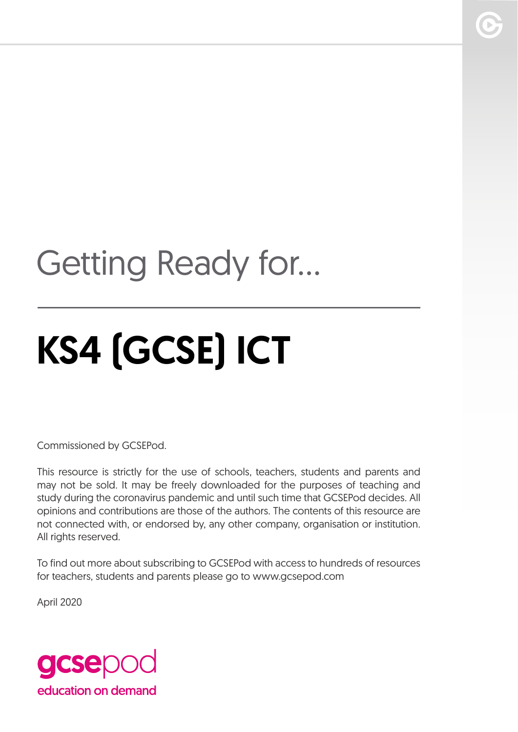## Getting Ready for...

# KS4 (GCSE) ICT

Commissioned by GCSEPod.

This resource is strictly for the use of schools, teachers, students and parents and may not be sold. It may be freely downloaded for the purposes of teaching and study during the coronavirus pandemic and until such time that GCSEPod decides. All opinions and contributions are those of the authors. The contents of this resource are not connected with, or endorsed by, any other company, organisation or institution. All rights reserved.

To find out more about subscribing to GCSEPod with access to hundreds of resources for teachers, students and parents please go to www.gcsepod.com

April 2020

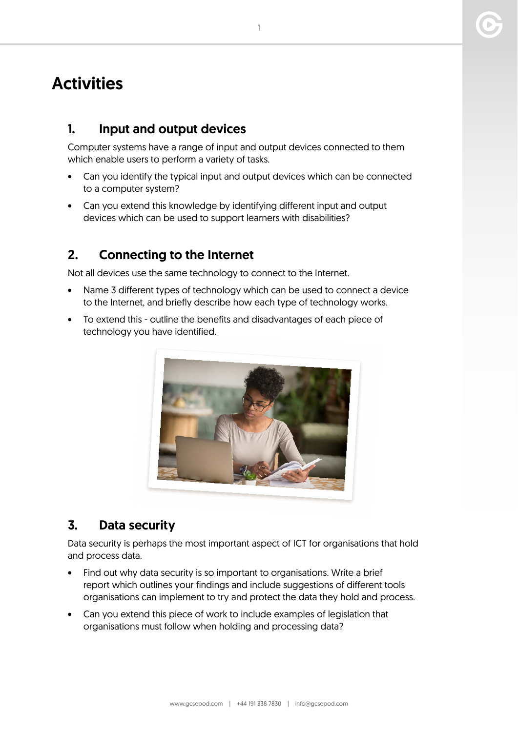### **Activities**

#### 1. Input and output devices

Computer systems have a range of input and output devices connected to them which enable users to perform a variety of tasks.

- Can you identify the typical input and output devices which can be connected to a computer system?
- Can you extend this knowledge by identifying different input and output devices which can be used to support learners with disabilities?

#### 2. Connecting to the Internet

Not all devices use the same technology to connect to the Internet.

- Name 3 different types of technology which can be used to connect a device to the Internet, and briefly describe how each type of technology works.
- To extend this outline the benefits and disadvantages of each piece of technology you have identified.



#### 3. Data security

Data security is perhaps the most important aspect of ICT for organisations that hold and process data.

- Find out why data security is so important to organisations. Write a brief report which outlines your findings and include suggestions of different tools organisations can implement to try and protect the data they hold and process.
- Can you extend this piece of work to include examples of legislation that organisations must follow when holding and processing data?

1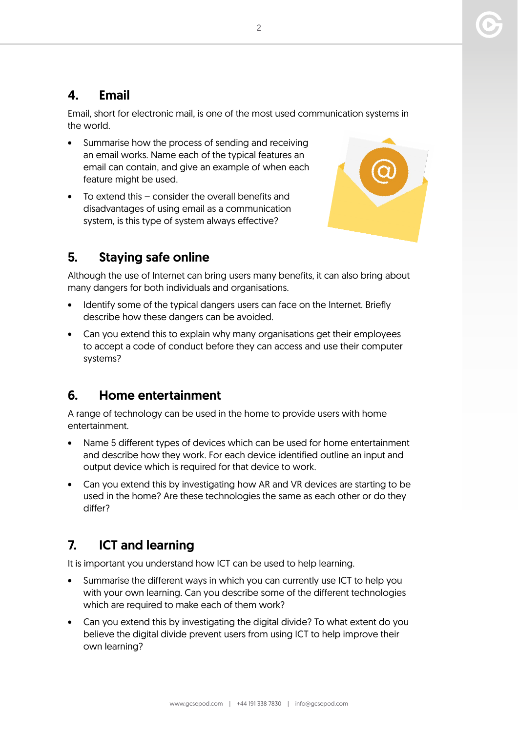#### 4. Email

Email, short for electronic mail, is one of the most used communication systems in the world.

- Summarise how the process of sending and receiving an email works. Name each of the typical features an email can contain, and give an example of when each feature might be used.
- To extend this consider the overall benefits and disadvantages of using email as a communication system, is this type of system always effective?

#### 5. Staying safe online



Although the use of Internet can bring users many benefits, it can also bring about many dangers for both individuals and organisations.

- Identify some of the typical dangers users can face on the Internet. Briefly describe how these dangers can be avoided.
- Can you extend this to explain why many organisations get their employees to accept a code of conduct before they can access and use their computer systems?

#### 6. Home entertainment

A range of technology can be used in the home to provide users with home entertainment.

- Name 5 different types of devices which can be used for home entertainment and describe how they work. For each device identified outline an input and output device which is required for that device to work.
- Can you extend this by investigating how AR and VR devices are starting to be used in the home? Are these technologies the same as each other or do they differ?

#### 7. ICT and learning

It is important you understand how ICT can be used to help learning.

- Summarise the different ways in which you can currently use ICT to help you with your own learning. Can you describe some of the different technologies which are required to make each of them work?
- Can you extend this by investigating the digital divide? To what extent do you believe the digital divide prevent users from using ICT to help improve their own learning?

2